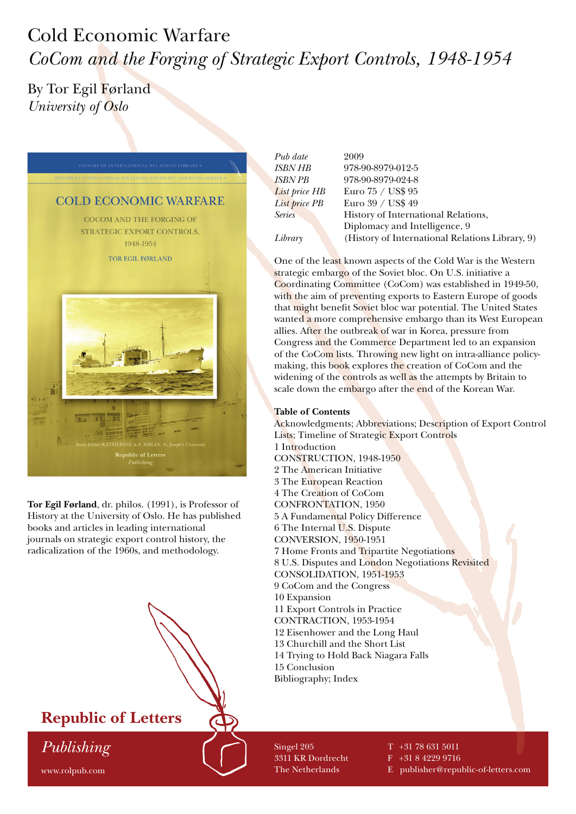# Cold Economic Warfare *CoCom and the Forging of Strategic Export Controls, 1948-1954*

## By Tor Egil Førland *University of Oslo*



**Tor Egil Førland**, dr. philos. (1991), is Professor of History at the University of Oslo. He has published books and articles in leading international journals on strategic export control history, the radicalization of the 1960s, and methodology.



*Pub date* 2009 *ISBN HB* 978-90-8979-012-5 *ISBN PB* 978-90-8979-024-8 *List price HB* Euro 75 / US\$ 95 *List price PB* Euro 39 / US\$ 49 **Series History of International Relations,**  Diplomacy and Intelligence, 9 *Library* (History of International Relations Library, 9)

One of the least known aspects of the Cold War is the Western strategic embargo of the Soviet bloc. On U.S. initiative a Coordinating Committee (CoCom) was established in 1949-50, with the aim of preventing exports to Eastern Europe of goods that might benefit Soviet bloc war potential. The United States wanted a more comprehensive embargo than its West European allies. After the outbreak of war in Korea, pressure from Congress and the Commerce Department led to an expansion of the CoCom lists. Throwing new light on intra-alliance policymaking, this book explores the creation of CoCom and the widening of the controls as well as the attempts by Britain to scale down the embargo after the end of the Korean War.

#### **Table of Contents**

Acknowledgments; Abbreviations; Description of Export Control Lists; Timeline of Strategic Export Controls 1 Introduction CONSTRUCTION, 1948-1950 2 The American Initiative 3 The European Reaction 4 The Creation of CoCom CONFRONTATION, 1950 5 A Fundamental Policy Difference 6 The Internal U.S. Dispute CONVERSION, 1950-1951 7 Home Fronts and Tripartite Negotiations 8 U.S. Disputes and London Negotiations Revisited CONSOLIDATION, 1951-1953 9 CoCom and the Congress 10 Expansion 11 Export Controls in Practice CONTRACTION, 1953-1954 12 Eisenhower and the Long Haul 13 Churchill and the Short List 14 Trying to Hold Back Niagara Falls 15 Conclusion Bibliography; Index

Singel 205 3311 KR Dordrecht The Netherlands

T +31 78 631 5011

F +31 8 4229 9716

E publisher@republic-of-letters.com

#### www.rolpub.com